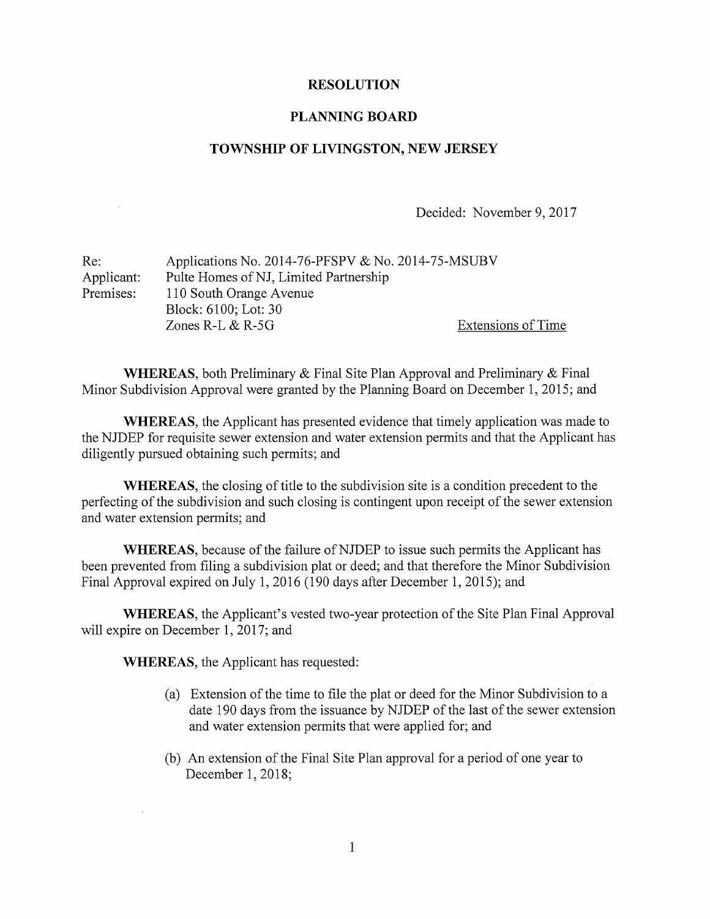## RESOLUTION

## PLANNING BOARD

## TOWNSHIP OF LIVINGSTON, NEW JERSEY

Decided: November 9, 2017

| Re:        | Applications No. 2014-76-PFSPV & No. 2014-75-MSUBV |                    |
|------------|----------------------------------------------------|--------------------|
| Applicant: | Pulte Homes of NJ, Limited Partnership             |                    |
| Premises:  | 110 South Orange Avenue                            |                    |
|            | Block: 6100; Lot: 30                               |                    |
|            | Zones R-L $&$ R-5G                                 | Extensions of Time |

WHEREAS, both Preliminary & Final Site Plan Approval and Preliminary & Final Minor Subdivision Approval were granted by the Planning Board on December 1, 2015; and

WHEREAS, the Applicant has presented evidence that timely application was made to the NJDEP for requisite sewer extension and water extension permits and that the Applicant has diligently pursued obtaining such permits; and

WHEREAS, the closing of title to the subdivision site is <sup>a</sup> condition precedent to the perfecting of the subdivision and such closing is contingent upon receipt of the sewer extension and water extension permits; and

WHEREAS, because of the failure of NJDEP to issue such permits the Applicant has been prevented from filing a subdivision plat or deed; and that therefore the Minor Subdivision Final Approval expired on July 1, 2016 (190 days after December 1, 2015); and

WHEREAS, the Applicant's vested two-year protection of the Site Plan Final Approval will expire on December 1, 2017; and

WHEREAS, the Applicant has requested:

- (a) Extension of the time to file the plat or deed for the Minor Subdivision to <sup>a</sup> date 190 days from the issuance by NJDEP of the last of the sewer extension and water extension permits that were applied for; and
- (b) An extension of the Final Site Plan approval for <sup>a</sup> period of one year to December 1, 2018;